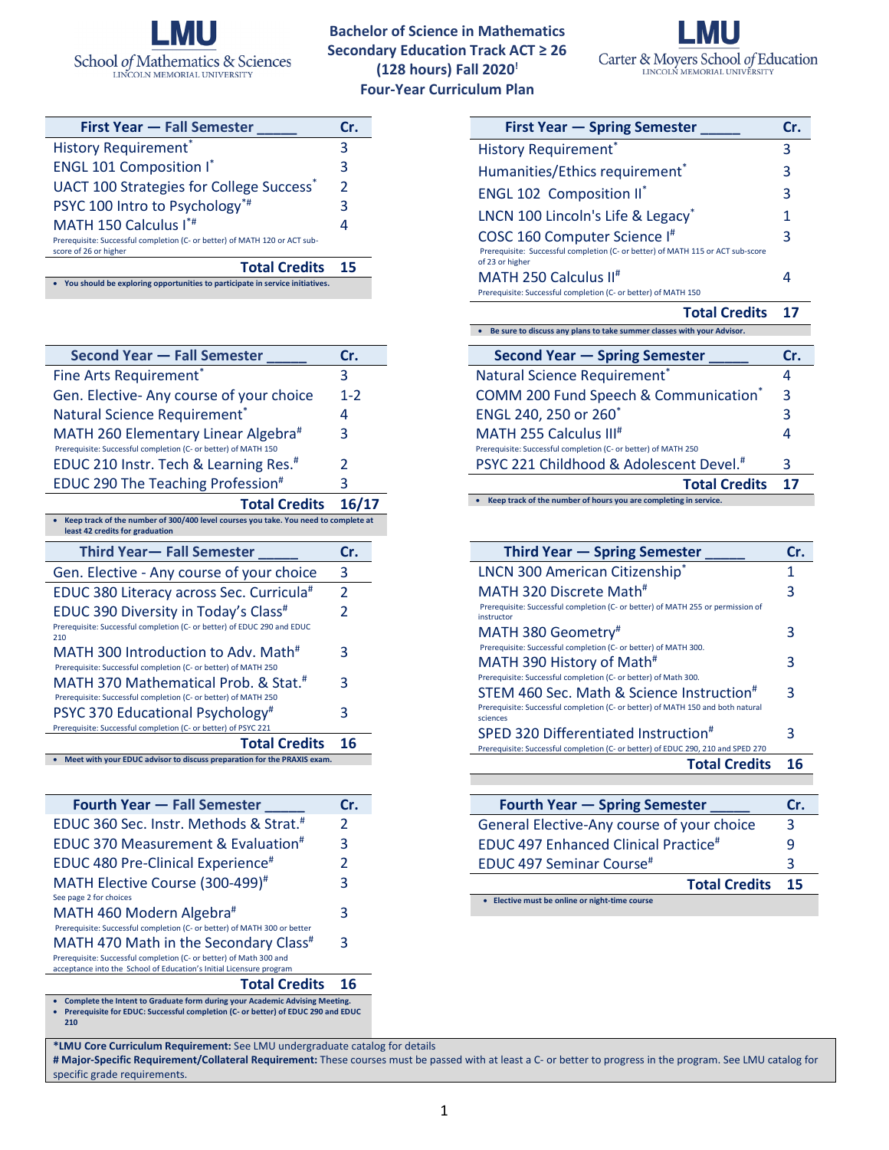

**Bachelor of Science in Mathematics Secondary Education Track ACT ≥ 26 (128 hours) Fall 2020! Four-Year Curriculum Plan**



| <b>First Year - Fall Semester</b>                                                                   | Cr.           |  |
|-----------------------------------------------------------------------------------------------------|---------------|--|
| <b>History Requirement</b> *                                                                        | 3             |  |
| <b>ENGL 101 Composition I*</b>                                                                      | 3             |  |
| <b>UACT 100 Strategies for College Success*</b>                                                     | $\mathcal{P}$ |  |
| PSYC 100 Intro to Psychology*#                                                                      | 3             |  |
| MATH 150 Calculus I*#                                                                               |               |  |
| Prerequisite: Successful completion (C- or better) of MATH 120 or ACT sub-<br>score of 26 or higher |               |  |
| <b>Total Credits</b>                                                                                | 15            |  |
| • You should be exploring opportunities to participate in service initiatives.                      |               |  |

| <b>Second Year - Fall Semester</b>                                                                                     | Cr.                      |
|------------------------------------------------------------------------------------------------------------------------|--------------------------|
| Fine Arts Requirement*                                                                                                 | 3                        |
| Gen. Elective-Any course of your choice                                                                                | $1 - 2$                  |
| Natural Science Requirement*                                                                                           | 4                        |
| MATH 260 Elementary Linear Algebra <sup>#</sup><br>Prerequisite: Successful completion (C- or better) of MATH 150      | 3                        |
| EDUC 210 Instr. Tech & Learning Res. <sup>#</sup>                                                                      | 2                        |
| EDUC 290 The Teaching Profession <sup>#</sup>                                                                          | 3                        |
| <b>Total Credits</b>                                                                                                   | 16/17                    |
| Keep track of the number of 300/400 level courses you take. You need to complete at<br>least 42 credits for graduation |                          |
| <b>Third Year-Fall Semester</b>                                                                                        | Cr.                      |
|                                                                                                                        |                          |
| Gen. Elective - Any course of your choice                                                                              | 3                        |
| EDUC 380 Literacy across Sec. Curricula <sup>#</sup>                                                                   | $\overline{2}$           |
| EDUC 390 Diversity in Today's Class <sup>#</sup>                                                                       | $\overline{\phantom{a}}$ |
| Prerequisite: Successful completion (C- or better) of EDUC 290 and EDUC                                                |                          |
| 210<br>MATH 300 Introduction to Adv. Math <sup>#</sup>                                                                 | 3                        |
| Prerequisite: Successful completion (C- or better) of MATH 250                                                         |                          |
| MATH 370 Mathematical Prob. & Stat. <sup>#</sup>                                                                       | 3                        |
| Prerequisite: Successful completion (C- or better) of MATH 250                                                         |                          |
| PSYC 370 Educational Psychology <sup>#</sup>                                                                           | 3                        |
| Prerequisite: Successful completion (C- or better) of PSYC 221<br><b>Total Credits</b>                                 | 16                       |

| Fourth Year - Fall Semester                                                                                                               | Cr.           |
|-------------------------------------------------------------------------------------------------------------------------------------------|---------------|
| EDUC 360 Sec. Instr. Methods & Strat. <sup>#</sup>                                                                                        | $\mathcal{P}$ |
| <b>EDUC 370 Measurement &amp; Evaluation<sup>#</sup></b>                                                                                  | 3             |
| EDUC 480 Pre-Clinical Experience <sup>#</sup>                                                                                             | $\mathcal{P}$ |
| MATH Elective Course (300-499) <sup>#</sup>                                                                                               | 3             |
| See page 2 for choices                                                                                                                    |               |
| MATH 460 Modern Algebra#                                                                                                                  | 3             |
| Prerequisite: Successful completion (C- or better) of MATH 300 or better                                                                  |               |
| MATH 470 Math in the Secondary Class <sup>#</sup>                                                                                         | 3             |
| Prerequisite: Successful completion (C- or better) of Math 300 and<br>acceptance into the School of Education's Initial Licensure program |               |
|                                                                                                                                           |               |

## **Total Credits 16**

• **Complete the Intent to Graduate form during your Academic Advising Meeting.** • **Prerequisite for EDUC: Successful completion (C- or better) of EDUC 290 and EDUC 210**

| <b>First Year – Spring Semester</b>                                                                                                |   |
|------------------------------------------------------------------------------------------------------------------------------------|---|
| <b>History Requirement</b> *                                                                                                       |   |
| Humanities/Ethics requirement <sup>*</sup>                                                                                         | 3 |
| <b>ENGL 102 Composition II*</b>                                                                                                    | З |
| LNCN 100 Lincoln's Life & Legacy*                                                                                                  |   |
| COSC 160 Computer Science I#<br>Prerequisite: Successful completion (C- or better) of MATH 115 or ACT sub-score<br>of 23 or higher |   |
| MATH 250 Calculus II <sup>#</sup><br>Prerequisite: Successful completion (C- or better) of MATH 150                                |   |
| <b>Total Credits</b>                                                                                                               |   |

• **Be sure to discuss any plans to take summer classes with your Advisor. Second Year — Spring Semester \_\_\_\_\_ Cr.** Natural Science Requirement<sup>\*</sup> 4 COMM 200 Fund Speech & Communication\* 3 ENGL 240, 250 or 260\* 3 MATH 255 Calculus III# Prerequisite: Successful completion (C- or better) of MATH 250 4 PSYC 221 Childhood & Adolescent Devel.<sup>#</sup> 3 **Total Credits 17**

• **Keep track of the number of hours you are completing in service.**

| Third Year – Spring Semester                                                                  |   |
|-----------------------------------------------------------------------------------------------|---|
| LNCN 300 American Citizenship*                                                                | 1 |
| MATH 320 Discrete Math <sup>#</sup>                                                           | 3 |
| Prerequisite: Successful completion (C- or better) of MATH 255 or permission of<br>instructor |   |
| MATH 380 Geometry#                                                                            | 3 |
| Prerequisite: Successful completion (C- or better) of MATH 300.                               |   |
| MATH 390 History of Math <sup>#</sup>                                                         | 3 |
| Prerequisite: Successful completion (C- or better) of Math 300.                               |   |
| STEM 460 Sec. Math & Science Instruction <sup>#</sup>                                         | 3 |
| Prerequisite: Successful completion (C- or better) of MATH 150 and both natural<br>sciences   |   |
| SPED 320 Differentiated Instruction#                                                          | 3 |
| Prerequisite: Successful completion (C- or better) of EDUC 290, 210 and SPED 270              |   |
| <b>Total Credits</b>                                                                          |   |

| <b>Fourth Year – Spring Semester</b>             | Cr. |
|--------------------------------------------------|-----|
| General Elective-Any course of your choice       | 3   |
| EDUC 497 Enhanced Clinical Practice <sup>#</sup> | q   |
| EDUC 497 Seminar Course <sup>#</sup>             | 3   |
| <b>Total Credits</b>                             | 15  |
| Elective must be online or night-time course     |     |

**\*LMU Core Curriculum Requirement:** See LMU undergraduate catalog for details

**# Major-Specific Requirement/Collateral Requirement:** These courses must be passed with at least a C- or better to progress in the program. See LMU catalog for specific grade requirements.